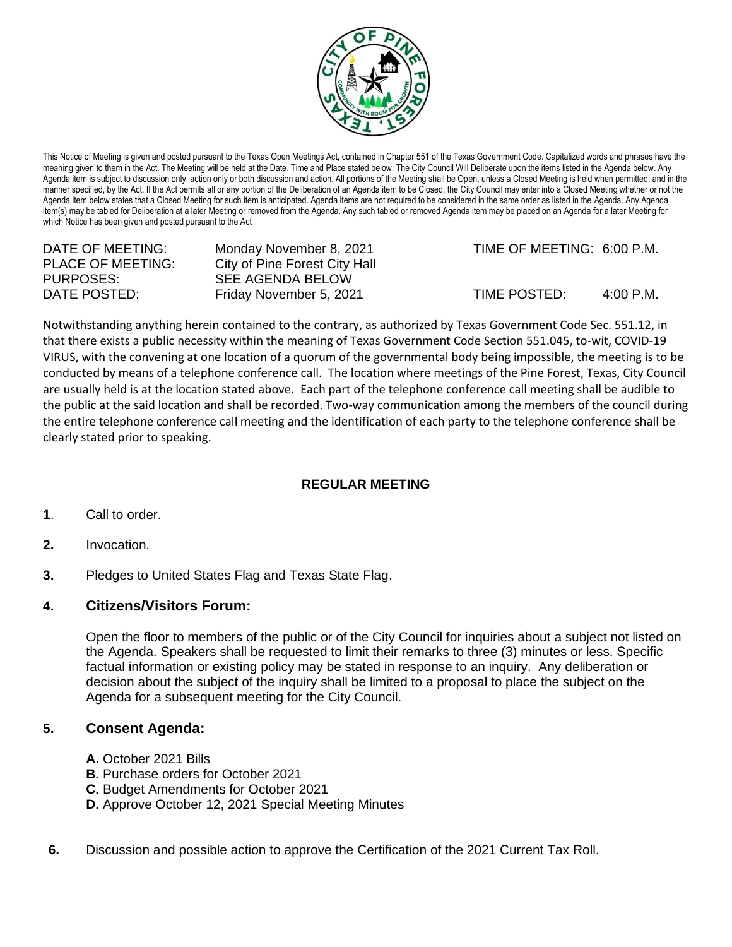

This Notice of Meeting is given and posted pursuant to the Texas Open Meetings Act, contained in Chapter 551 of the Texas Government Code. Capitalized words and phrases have the meaning given to them in the Act. The Meeting will be held at the Date, Time and Place stated below. The City Council Will Deliberate upon the items listed in the Agenda below. Any Agenda item is subject to discussion only, action only or both discussion and action. All portions of the Meeting shall be Open, unless a Closed Meeting is held when permitted, and in the manner specified, by the Act. If the Act permits all or any portion of the Deliberation of an Agenda item to be Closed, the City Council may enter into a Closed Meeting whether or not the Agenda item below states that a Closed Meeting for such item is anticipated. Agenda items are not required to be considered in the same order as listed in the Agenda. Any Agenda item(s) may be tabled for Deliberation at a later Meeting or removed from the Agenda. Any such tabled or removed Agenda item may be placed on an Agenda for a later Meeting for which Notice has been given and posted pursuant to the Act

| DATE OF MEETING:         | Monday November 8, 2021       | TIME OF MEETING: 6:00 P.M. |             |
|--------------------------|-------------------------------|----------------------------|-------------|
| <b>PLACE OF MEETING:</b> | City of Pine Forest City Hall |                            |             |
| PURPOSES:                | SEE AGENDA BELOW              |                            |             |
| DATE POSTED:             | Friday November 5, 2021       | TIME POSTED:               | $4:00$ P.M. |

Notwithstanding anything herein contained to the contrary, as authorized by Texas Government Code Sec. 551.12, in that there exists a public necessity within the meaning of Texas Government Code Section 551.045, to-wit, COVID-19 VIRUS, with the convening at one location of a quorum of the governmental body being impossible, the meeting is to be conducted by means of a telephone conference call. The location where meetings of the Pine Forest, Texas, City Council are usually held is at the location stated above. Each part of the telephone conference call meeting shall be audible to the public at the said location and shall be recorded. Two-way communication among the members of the council during the entire telephone conference call meeting and the identification of each party to the telephone conference shall be clearly stated prior to speaking.

## **REGULAR MEETING**

- **1**. Call to order.
- **2.** Invocation.
- **3.** Pledges to United States Flag and Texas State Flag.

## **4. Citizens/Visitors Forum:**

Open the floor to members of the public or of the City Council for inquiries about a subject not listed on the Agenda. Speakers shall be requested to limit their remarks to three (3) minutes or less. Specific factual information or existing policy may be stated in response to an inquiry. Any deliberation or decision about the subject of the inquiry shall be limited to a proposal to place the subject on the Agenda for a subsequent meeting for the City Council.

## **5. Consent Agenda:**

- **A.** October 2021 Bills
- **B.** Purchase orders for October 2021
- **C.** Budget Amendments for October 2021
- **D.** Approve October 12, 2021 Special Meeting Minutes
- **6.** Discussion and possible action to approve the Certification of the 2021 Current Tax Roll.